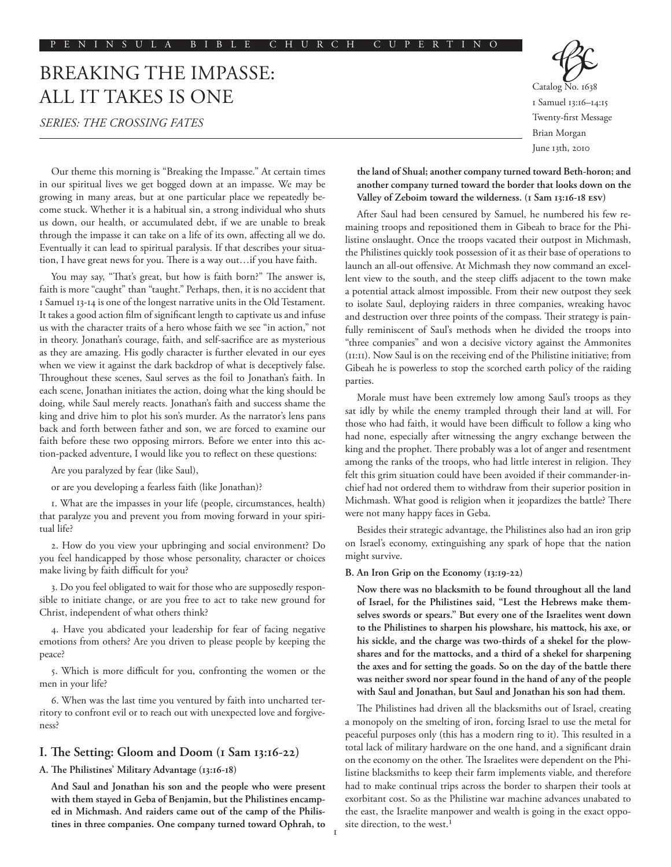# BREAKING THE IMPASSE: ALL IT TAKES IS ONE

# *Series: The Crossing Fates*

Catalog No. 1638 1 Samuel 13:16–14:15 Twenty-first Message Brian Morgan June 13th, 2010

Our theme this morning is "Breaking the Impasse." At certain times in our spiritual lives we get bogged down at an impasse. We may be growing in many areas, but at one particular place we repeatedly become stuck. Whether it is a habitual sin, a strong individual who shuts us down, our health, or accumulated debt, if we are unable to break through the impasse it can take on a life of its own, affecting all we do. Eventually it can lead to spiritual paralysis. If that describes your situation, I have great news for you. There is a way out…if you have faith.

You may say, "That's great, but how is faith born?" The answer is, faith is more "caught" than "taught." Perhaps, then, it is no accident that 1 Samuel 13-14 is one of the longest narrative units in the Old Testament. It takes a good action film of significant length to captivate us and infuse us with the character traits of a hero whose faith we see "in action," not in theory. Jonathan's courage, faith, and self-sacrifice are as mysterious as they are amazing. His godly character is further elevated in our eyes when we view it against the dark backdrop of what is deceptively false. Throughout these scenes, Saul serves as the foil to Jonathan's faith. In each scene, Jonathan initiates the action, doing what the king should be doing, while Saul merely reacts. Jonathan's faith and success shame the king and drive him to plot his son's murder. As the narrator's lens pans back and forth between father and son, we are forced to examine our faith before these two opposing mirrors. Before we enter into this action-packed adventure, I would like you to reflect on these questions:

Are you paralyzed by fear (like Saul),

or are you developing a fearless faith (like Jonathan)?

1. What are the impasses in your life (people, circumstances, health) that paralyze you and prevent you from moving forward in your spiritual life?

2. How do you view your upbringing and social environment? Do you feel handicapped by those whose personality, character or choices make living by faith difficult for you?

3. Do you feel obligated to wait for those who are supposedly responsible to initiate change, or are you free to act to take new ground for Christ, independent of what others think?

4. Have you abdicated your leadership for fear of facing negative emotions from others? Are you driven to please people by keeping the peace?

5. Which is more difficult for you, confronting the women or the men in your life?

6. When was the last time you ventured by faith into uncharted territory to confront evil or to reach out with unexpected love and forgiveness?

## **I. The Setting: Gloom and Doom (1 Sam 13:16-22)**

#### **A. The Philistines' Military Advantage (13:16-18)**

**And Saul and Jonathan his son and the people who were present with them stayed in Geba of Benjamin, but the Philistines encamped in Michmash. And raiders came out of the camp of the Philistines in three companies. One company turned toward Ophrah, to**  **the land of Shual; another company turned toward Beth-horon; and another company turned toward the border that looks down on the Valley of Zeboim toward the wilderness. (1 Sam 13:16-18 ESV)**

After Saul had been censured by Samuel, he numbered his few remaining troops and repositioned them in Gibeah to brace for the Philistine onslaught. Once the troops vacated their outpost in Michmash, the Philistines quickly took possession of it as their base of operations to launch an all-out offensive. At Michmash they now command an excellent view to the south, and the steep cliffs adjacent to the town make a potential attack almost impossible. From their new outpost they seek to isolate Saul, deploying raiders in three companies, wreaking havoc and destruction over three points of the compass. Their strategy is painfully reminiscent of Saul's methods when he divided the troops into "three companies" and won a decisive victory against the Ammonites (11:11). Now Saul is on the receiving end of the Philistine initiative; from Gibeah he is powerless to stop the scorched earth policy of the raiding parties.

Morale must have been extremely low among Saul's troops as they sat idly by while the enemy trampled through their land at will. For those who had faith, it would have been difficult to follow a king who had none, especially after witnessing the angry exchange between the king and the prophet. There probably was a lot of anger and resentment among the ranks of the troops, who had little interest in religion. They felt this grim situation could have been avoided if their commander-inchief had not ordered them to withdraw from their superior position in Michmash. What good is religion when it jeopardizes the battle? There were not many happy faces in Geba.

Besides their strategic advantage, the Philistines also had an iron grip on Israel's economy, extinguishing any spark of hope that the nation might survive.

### **B. An Iron Grip on the Economy (13:19-22)**

**Now there was no blacksmith to be found throughout all the land of Israel, for the Philistines said, "Lest the Hebrews make themselves swords or spears." But every one of the Israelites went down to the Philistines to sharpen his plowshare, his mattock, his axe, or his sickle, and the charge was two-thirds of a shekel for the plowshares and for the mattocks, and a third of a shekel for sharpening the axes and for setting the goads. So on the day of the battle there was neither sword nor spear found in the hand of any of the people with Saul and Jonathan, but Saul and Jonathan his son had them.**

The Philistines had driven all the blacksmiths out of Israel, creating a monopoly on the smelting of iron, forcing Israel to use the metal for peaceful purposes only (this has a modern ring to it). This resulted in a total lack of military hardware on the one hand, and a significant drain on the economy on the other. The Israelites were dependent on the Philistine blacksmiths to keep their farm implements viable, and therefore had to make continual trips across the border to sharpen their tools at exorbitant cost. So as the Philistine war machine advances unabated to the east, the Israelite manpower and wealth is going in the exact opposite direction, to the west.<sup>1</sup>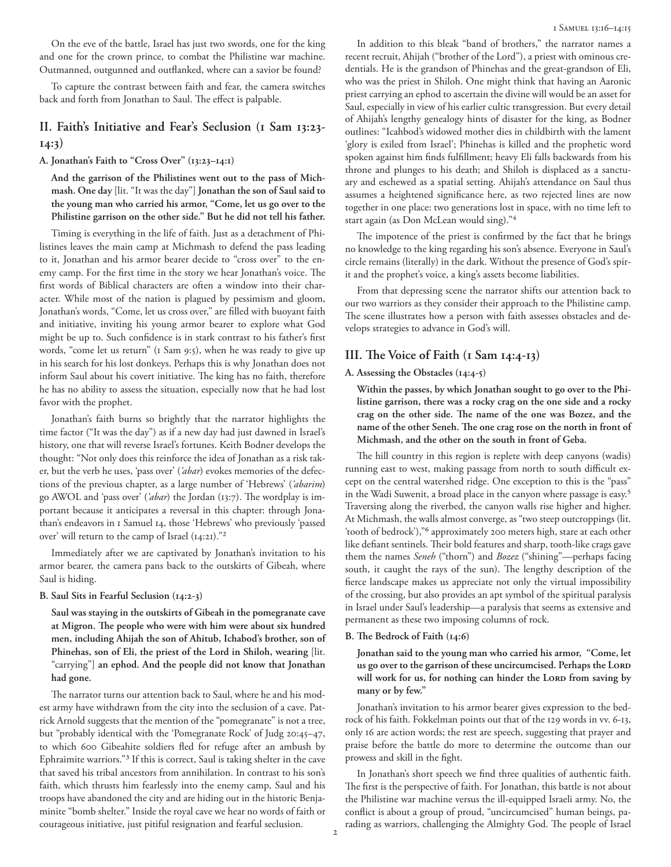On the eve of the battle, Israel has just two swords, one for the king and one for the crown prince, to combat the Philistine war machine. Outmanned, outgunned and outflanked, where can a savior be found?

To capture the contrast between faith and fear, the camera switches back and forth from Jonathan to Saul. The effect is palpable.

# **II. Faith's Initiative and Fear's Seclusion (1 Sam 13:23- 14:3)**

**A. Jonathan's Faith to "Cross Over" (13:23–14:1)** 

**And the garrison of the Philistines went out to the pass of Michmash. One day** [lit. "It was the day"] **Jonathan the son of Saul said to the young man who carried his armor, "Come, let us go over to the Philistine garrison on the other side." But he did not tell his father.** 

Timing is everything in the life of faith. Just as a detachment of Philistines leaves the main camp at Michmash to defend the pass leading to it, Jonathan and his armor bearer decide to "cross over" to the enemy camp. For the first time in the story we hear Jonathan's voice. The first words of Biblical characters are often a window into their character. While most of the nation is plagued by pessimism and gloom, Jonathan's words, "Come, let us cross over," are filled with buoyant faith and initiative, inviting his young armor bearer to explore what God might be up to. Such confidence is in stark contrast to his father's first words, "come let us return" (1 Sam 9:5), when he was ready to give up in his search for his lost donkeys. Perhaps this is why Jonathan does not inform Saul about his covert initiative. The king has no faith, therefore he has no ability to assess the situation, especially now that he had lost favor with the prophet.

Jonathan's faith burns so brightly that the narrator highlights the time factor ("It was the day") as if a new day had just dawned in Israel's history, one that will reverse Israel's fortunes. Keith Bodner develops the thought: "Not only does this reinforce the idea of Jonathan as a risk taker, but the verb he uses, 'pass over' (*'abar*) evokes memories of the defections of the previous chapter, as a large number of 'Hebrews' (*'abarim*) go AWOL and 'pass over' (*'abar*) the Jordan (13:7). The wordplay is important because it anticipates a reversal in this chapter: through Jonathan's endeavors in 1 Samuel 14, those 'Hebrews' who previously 'passed over' will return to the camp of Israel (14:21)."2

Immediately after we are captivated by Jonathan's invitation to his armor bearer, the camera pans back to the outskirts of Gibeah, where Saul is hiding.

## **B. Saul Sits in Fearful Seclusion (14:2-3)**

**Saul was staying in the outskirts of Gibeah in the pomegranate cave at Migron. The people who were with him were about six hundred men, including Ahijah the son of Ahitub, Ichabod's brother, son of Phinehas, son of Eli, the priest of the Lord in Shiloh, wearing** [lit. "carrying"] **an ephod. And the people did not know that Jonathan had gone.**

The narrator turns our attention back to Saul, where he and his modest army have withdrawn from the city into the seclusion of a cave. Patrick Arnold suggests that the mention of the "pomegranate" is not a tree, but "probably identical with the 'Pomegranate Rock' of Judg 20:45–47, to which 600 Gibeahite soldiers fled for refuge after an ambush by Ephraimite warriors."3 If this is correct, Saul is taking shelter in the cave that saved his tribal ancestors from annihilation. In contrast to his son's faith, which thrusts him fearlessly into the enemy camp, Saul and his troops have abandoned the city and are hiding out in the historic Benjaminite "bomb shelter." Inside the royal cave we hear no words of faith or courageous initiative, just pitiful resignation and fearful seclusion.

In addition to this bleak "band of brothers," the narrator names a recent recruit, Ahijah ("brother of the Lord"), a priest with ominous credentials. He is the grandson of Phinehas and the great-grandson of Eli, who was the priest in Shiloh. One might think that having an Aaronic priest carrying an ephod to ascertain the divine will would be an asset for Saul, especially in view of his earlier cultic transgression. But every detail of Ahijah's lengthy genealogy hints of disaster for the king, as Bodner outlines: "Icahbod's widowed mother dies in childbirth with the lament 'glory is exiled from Israel'; Phinehas is killed and the prophetic word spoken against him finds fulfillment; heavy Eli falls backwards from his throne and plunges to his death; and Shiloh is displaced as a sanctuary and eschewed as a spatial setting. Ahijah's attendance on Saul thus assumes a heightened significance here, as two rejected lines are now together in one place: two generations lost in space, with no time left to start again (as Don McLean would sing)."4

The impotence of the priest is confirmed by the fact that he brings no knowledge to the king regarding his son's absence. Everyone in Saul's circle remains (literally) in the dark. Without the presence of God's spirit and the prophet's voice, a king's assets become liabilities.

From that depressing scene the narrator shifts our attention back to our two warriors as they consider their approach to the Philistine camp. The scene illustrates how a person with faith assesses obstacles and develops strategies to advance in God's will.

## **III. The Voice of Faith (1 Sam 14:4-13)**

## **A. Assessing the Obstacles (14:4-5)**

**Within the passes, by which Jonathan sought to go over to the Philistine garrison, there was a rocky crag on the one side and a rocky crag on the other side. The name of the one was Bozez, and the name of the other Seneh. The one crag rose on the north in front of Michmash, and the other on the south in front of Geba.** 

The hill country in this region is replete with deep canyons (wadis) running east to west, making passage from north to south difficult except on the central watershed ridge. One exception to this is the "pass" in the Wadi Suwenit, a broad place in the canyon where passage is easy.5 Traversing along the riverbed, the canyon walls rise higher and higher. At Michmash, the walls almost converge, as "two steep outcroppings (lit. 'tooth of bedrock'),"6 approximately 200 meters high, stare at each other like defiant sentinels. Their bold features and sharp, tooth-like crags gave them the names *Seneh* ("thorn") and *Bozez* ("shining"—perhaps facing south, it caught the rays of the sun). The lengthy description of the fierce landscape makes us appreciate not only the virtual impossibility of the crossing, but also provides an apt symbol of the spiritual paralysis in Israel under Saul's leadership—a paralysis that seems as extensive and permanent as these two imposing columns of rock.

#### **B. The Bedrock of Faith (14:6)**

**Jonathan said to the young man who carried his armor, "Come, let us go over to the garrison of these uncircumcised. Perhaps the Lord** will work for us, for nothing can hinder the LORD from saving by **many or by few."**

Jonathan's invitation to his armor bearer gives expression to the bedrock of his faith. Fokkelman points out that of the 129 words in vv. 6-13, only 16 are action words; the rest are speech, suggesting that prayer and praise before the battle do more to determine the outcome than our prowess and skill in the fight.

In Jonathan's short speech we find three qualities of authentic faith. The first is the perspective of faith. For Jonathan, this battle is not about the Philistine war machine versus the ill-equipped Israeli army. No, the conflict is about a group of proud, "uncircumcised" human beings, parading as warriors, challenging the Almighty God. The people of Israel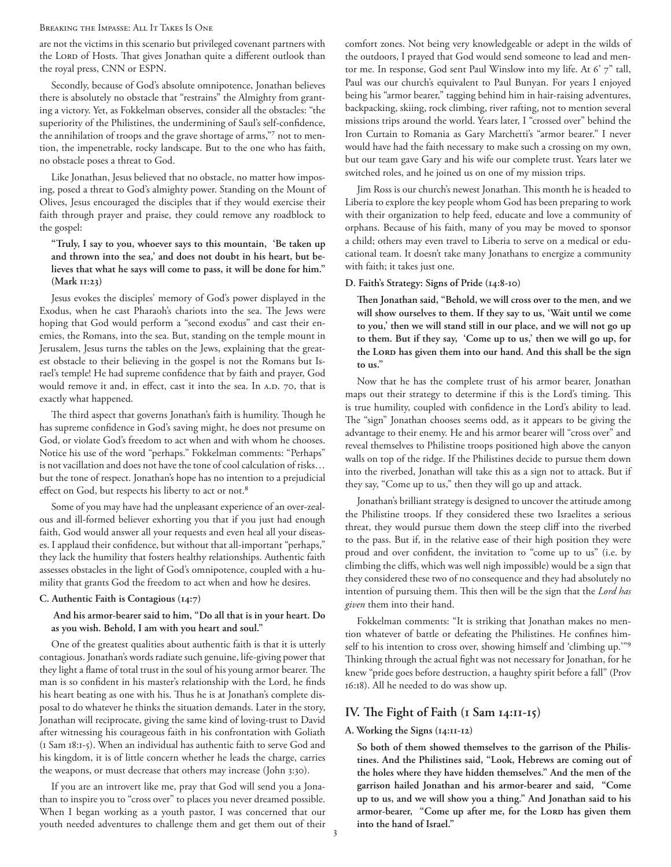#### Breaking the Impasse: All It Takes Is One

are not the victims in this scenario but privileged covenant partners with the LORD of Hosts. That gives Jonathan quite a different outlook than the royal press, CNN or ESPN.

Secondly, because of God's absolute omnipotence, Jonathan believes there is absolutely no obstacle that "restrains" the Almighty from granting a victory. Yet, as Fokkelman observes, consider all the obstacles: "the superiority of the Philistines, the undermining of Saul's self-confidence, the annihilation of troops and the grave shortage of arms,"7 not to mention, the impenetrable, rocky landscape. But to the one who has faith, no obstacle poses a threat to God.

Like Jonathan, Jesus believed that no obstacle, no matter how imposing, posed a threat to God's almighty power. Standing on the Mount of Olives, Jesus encouraged the disciples that if they would exercise their faith through prayer and praise, they could remove any roadblock to the gospel:

**"Truly, I say to you, whoever says to this mountain, 'Be taken up and thrown into the sea,' and does not doubt in his heart, but believes that what he says will come to pass, it will be done for him." (Mark 11:23)**

Jesus evokes the disciples' memory of God's power displayed in the Exodus, when he cast Pharaoh's chariots into the sea. The Jews were hoping that God would perform a "second exodus" and cast their enemies, the Romans, into the sea. But, standing on the temple mount in Jerusalem, Jesus turns the tables on the Jews, explaining that the greatest obstacle to their believing in the gospel is not the Romans but Israel's temple! He had supreme confidence that by faith and prayer, God would remove it and, in effect, cast it into the sea. In A.D. 70, that is exactly what happened.

The third aspect that governs Jonathan's faith is humility. Though he has supreme confidence in God's saving might, he does not presume on God, or violate God's freedom to act when and with whom he chooses. Notice his use of the word "perhaps." Fokkelman comments: "Perhaps" is not vacillation and does not have the tone of cool calculation of risks… but the tone of respect. Jonathan's hope has no intention to a prejudicial effect on God, but respects his liberty to act or not.<sup>8</sup>

Some of you may have had the unpleasant experience of an over-zealous and ill-formed believer exhorting you that if you just had enough faith, God would answer all your requests and even heal all your diseases. I applaud their confidence, but without that all-important "perhaps," they lack the humility that fosters healthy relationships. Authentic faith assesses obstacles in the light of God's omnipotence, coupled with a humility that grants God the freedom to act when and how he desires.

## **C. Authentic Faith is Contagious (14:7)**

## **And his armor-bearer said to him, "Do all that is in your heart. Do as you wish. Behold, I am with you heart and soul."**

One of the greatest qualities about authentic faith is that it is utterly contagious. Jonathan's words radiate such genuine, life-giving power that they light a flame of total trust in the soul of his young armor bearer. The man is so confident in his master's relationship with the Lord, he finds his heart beating as one with his. Thus he is at Jonathan's complete disposal to do whatever he thinks the situation demands. Later in the story, Jonathan will reciprocate, giving the same kind of loving-trust to David after witnessing his courageous faith in his confrontation with Goliath (1 Sam 18:1-5). When an individual has authentic faith to serve God and his kingdom, it is of little concern whether he leads the charge, carries the weapons, or must decrease that others may increase (John 3:30).

If you are an introvert like me, pray that God will send you a Jonathan to inspire you to "cross over" to places you never dreamed possible. When I began working as a youth pastor, I was concerned that our youth needed adventures to challenge them and get them out of their comfort zones. Not being very knowledgeable or adept in the wilds of the outdoors, I prayed that God would send someone to lead and mentor me. In response, God sent Paul Winslow into my life. At 6' 7" tall, Paul was our church's equivalent to Paul Bunyan. For years I enjoyed being his "armor bearer," tagging behind him in hair-raising adventures, backpacking, skiing, rock climbing, river rafting, not to mention several missions trips around the world. Years later, I "crossed over" behind the Iron Curtain to Romania as Gary Marchetti's "armor bearer." I never would have had the faith necessary to make such a crossing on my own, but our team gave Gary and his wife our complete trust. Years later we switched roles, and he joined us on one of my mission trips.

Jim Ross is our church's newest Jonathan. This month he is headed to Liberia to explore the key people whom God has been preparing to work with their organization to help feed, educate and love a community of orphans. Because of his faith, many of you may be moved to sponsor a child; others may even travel to Liberia to serve on a medical or educational team. It doesn't take many Jonathans to energize a community with faith; it takes just one.

## **D. Faith's Strategy: Signs of Pride (14:8-10)**

**Then Jonathan said, "Behold, we will cross over to the men, and we will show ourselves to them. If they say to us, 'Wait until we come to you,' then we will stand still in our place, and we will not go up to them. But if they say, 'Come up to us,' then we will go up, for**  the LORD has given them into our hand. And this shall be the sign **to us."**

Now that he has the complete trust of his armor bearer, Jonathan maps out their strategy to determine if this is the Lord's timing. This is true humility, coupled with confidence in the Lord's ability to lead. The "sign" Jonathan chooses seems odd, as it appears to be giving the advantage to their enemy. He and his armor bearer will "cross over" and reveal themselves to Philistine troops positioned high above the canyon walls on top of the ridge. If the Philistines decide to pursue them down into the riverbed, Jonathan will take this as a sign not to attack. But if they say, "Come up to us," then they will go up and attack.

Jonathan's brilliant strategy is designed to uncover the attitude among the Philistine troops. If they considered these two Israelites a serious threat, they would pursue them down the steep cliff into the riverbed to the pass. But if, in the relative ease of their high position they were proud and over confident, the invitation to "come up to us" (i.e. by climbing the cliffs, which was well nigh impossible) would be a sign that they considered these two of no consequence and they had absolutely no intention of pursuing them. This then will be the sign that the *Lord has given* them into their hand.

Fokkelman comments: "It is striking that Jonathan makes no mention whatever of battle or defeating the Philistines. He confines himself to his intention to cross over, showing himself and 'climbing up.'"9 Thinking through the actual fight was not necessary for Jonathan, for he knew "pride goes before destruction, a haughty spirit before a fall" (Prov 16:18). All he needed to do was show up.

# **IV. The Fight of Faith (1 Sam 14:11-15)**

## **A. Working the Signs (14:11-12)**

**So both of them showed themselves to the garrison of the Philistines. And the Philistines said, "Look, Hebrews are coming out of the holes where they have hidden themselves." And the men of the garrison hailed Jonathan and his armor-bearer and said, "Come up to us, and we will show you a thing." And Jonathan said to his**  armor-bearer, "Come up after me, for the Loro has given them **into the hand of Israel."**